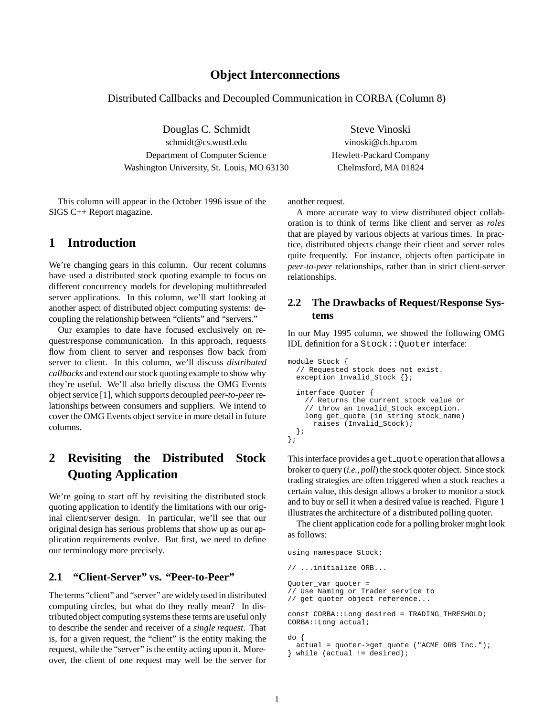### **Object Interconnections**

Distributed Callbacks and Decoupled Communication in CORBA (Column 8)

Douglas C. Schmidt Steve Vinoski schmidt@cs.wustl.edu vinoski@ch.hp.com Department of Computer Science Hewlett-Packard Company Washington University, St. Louis, MO 63130 Chelmsford, MA 01824

This column will appear in the October 1996 issue of the SIGS C++ Report magazine.

# **1 Introduction**

We're changing gears in this column. Our recent columns have used a distributed stock quoting example to focus on different concurrency models for developing multithreaded server applications. In this column, we'll start looking at another aspect of distributed object computing systems: decoupling the relationship between "clients" and "servers."

Our examples to date have focused exclusively on request/response communication. In this approach, requests flow from client to server and responses flow back from server to client. In this column, we'll discuss *distributed callbacks* and extend our stock quoting example to show why they're useful. We'll also briefly discuss the OMG Events object service [1], which supports decoupled *peer-to-peer*relationships between consumers and suppliers. We intend to cover the OMG Events object service in more detail in future columns.

# **2 Revisiting the Distributed Stock Quoting Application**

We're going to start off by revisiting the distributed stock quoting application to identify the limitations with our original client/server design. In particular, we'll see that our original design has serious problems that show up as our application requirements evolve. But first, we need to define our terminology more precisely.

# **2.1 "Client-Server" vs. "Peer-to-Peer"**

The terms "client" and "server" are widely used in distributed computing circles, but what do they really mean? In distributedobject computing systems these terms are useful only to describe the sender and receiver of a *single request*. That is, for a given request, the "client" is the entity making the request, while the "server" is the entity acting upon it. Moreover, the client of one request may well be the server for

another request.

A more accurate way to view distributed object collaboration is to think of terms like client and server as *roles* that are played by various objects at various times. In practice, distributed objects change their client and server roles quite frequently. For instance, objects often participate in *peer-to-peer* relationships, rather than in strict client-server relationships.

#### **2.2 The Drawbacks of Request/Response Systems**

In our May 1995 column, we showed the following OMG IDL definition for a Stock: : Quoter interface:

```
module Stock {
  // Requested stock does not exist.
  exception Invalid_Stock {};
  interface Quoter {
    // Returns the current stock value or
    // throw an Invalid_Stock exception.
    long get_quote (in string stock_name)
      raises (Invalid_Stock);
  };
};
```
This interface provides a get quote operation that allows a broker to query (*i.e., poll*) the stock quoter object. Since stock trading strategies are often triggered when a stock reaches a certain value, this design allows a broker to monitor a stock and to buy or sell it when a desired value is reached. Figure 1 illustrates the architecture of a distributed polling quoter.

The client application code for a polling broker might look as follows:

using namespace Stock;

```
// ...initialize ORB...
Quoter_var quoter =
// Use Naming or Trader service to
// get quoter object reference...
const CORBA::Long desired = TRADING_THRESHOLD;
CORBA::Long actual;
do {
 actual = quoter->get_quote ("ACME ORB Inc.");
} while (actual != desired);
```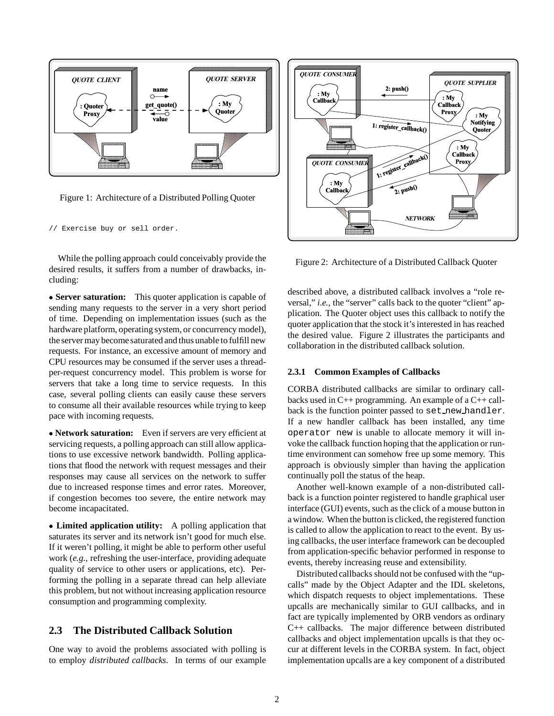

Figure 1: Architecture of a Distributed Polling Quoter

// Exercise buy or sell order.

While the polling approach could conceivably provide the desired results, it suffers from a number of drawbacks, including:

 **Server saturation:** This quoter application is capable of sending many requests to the server in a very short period of time. Depending on implementation issues (such as the hardware platform, operating system, or concurrency model), the server may become saturated and thus unable to fulfill new requests. For instance, an excessive amount of memory and CPU resources may be consumed if the server uses a threadper-request concurrency model. This problem is worse for servers that take a long time to service requests. In this case, several polling clients can easily cause these servers to consume all their available resources while trying to keep pace with incoming requests.

 **Network saturation:** Even if servers are very efficient at servicing requests, a polling approach can still allow applications to use excessive network bandwidth. Polling applications that flood the network with request messages and their responses may cause all services on the network to suffer due to increased response times and error rates. Moreover, if congestion becomes too severe, the entire network may become incapacitated.

 **Limited application utility:** A polling application that saturates its server and its network isn't good for much else. If it weren't polling, it might be able to perform other useful work (*e.g.,* refreshing the user-interface, providing adequate quality of service to other users or applications, etc). Performing the polling in a separate thread can help alleviate this problem, but not without increasing application resource consumption and programming complexity.

#### **2.3 The Distributed Callback Solution**

One way to avoid the problems associated with polling is to employ *distributed callbacks*. In terms of our example



Figure 2: Architecture of a Distributed Callback Quoter

described above, a distributed callback involves a "role reversal," *i.e.*, the "server" calls back to the quoter "client" application. The Quoter object uses this callback to notify the quoter application that the stock it's interested in has reached the desired value. Figure 2 illustrates the participants and collaboration in the distributed callback solution.

#### **2.3.1 Common Examples of Callbacks**

CORBA distributed callbacks are similar to ordinary callbacks used in C++ programming. An example of a C++ callback is the function pointer passed to set new handler. If a new handler callback has been installed, any time operator new is unable to allocate memory it will invoke the callback function hoping that the application or runtime environment can somehow free up some memory. This approach is obviously simpler than having the application continually poll the status of the heap.

Another well-known example of a non-distributed callback is a function pointer registered to handle graphical user interface (GUI) events, such as the click of a mouse button in a window. When the button is clicked, the registered function is called to allow the application to react to the event. By using callbacks, the user interface framework can be decoupled from application-specific behavior performed in response to events, thereby increasing reuse and extensibility.

Distributed callbacks should not be confused with the "upcalls" made by the Object Adapter and the IDL skeletons, which dispatch requests to object implementations. These upcalls are mechanically similar to GUI callbacks, and in fact are typically implemented by ORB vendors as ordinary C++ callbacks. The major difference between distributed callbacks and object implementation upcalls is that they occur at different levels in the CORBA system. In fact, object implementation upcalls are a key component of a distributed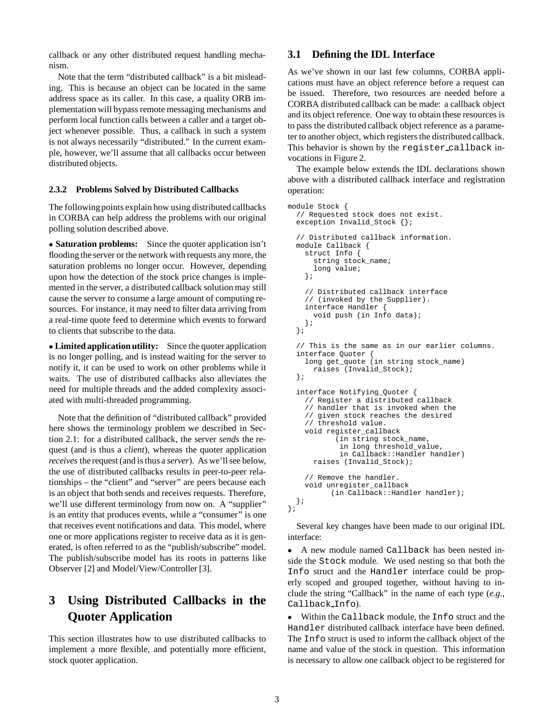callback or any other distributed request handling mechanism.

Note that the term "distributed callback" is a bit misleading. This is because an object can be located in the same address space as its caller. In this case, a quality ORB implementation will bypass remote messaging mechanisms and perform local function calls between a caller and a target object whenever possible. Thus, a callback in such a system is not always necessarily "distributed." In the current example, however, we'll assume that all callbacks occur between distributed objects.

#### **2.3.2 Problems Solved by Distributed Callbacks**

The following points explain how using distributed callbacks in CORBA can help address the problems with our original polling solution described above.

 **Saturation problems:** Since the quoter application isn't flooding the server or the network with requests any more, the saturation problems no longer occur. However, depending upon how the detection of the stock price changes is implemented in the server, a distributed callback solution may still cause the server to consume a large amount of computing resources. For instance, it may need to filter data arriving from a real-time quote feed to determine which events to forward to clients that subscribe to the data.

 **Limited application utility:** Since the quoter application is no longer polling, and is instead waiting for the server to notify it, it can be used to work on other problems while it waits. The use of distributed callbacks also alleviates the need for multiple threads and the added complexity associated with multi-threaded programming.

Note that the definition of "distributed callback" provided here shows the terminology problem we described in Section 2.1: for a distributed callback, the server *sends* the request (and is thus a *client*), whereas the quoter application *receives* the request (and is thus a *server*). As we'll see below, the use of distributed callbacks results in peer-to-peer relationships – the "client" and "server" are peers because each is an object that both sends and receives requests. Therefore, we'll use different terminology from now on. A "supplier" is an entity that produces events, while a "consumer" is one that receives event notifications and data. This model, where one or more applications register to receive data as it is generated, is often referred to as the "publish/subscribe" model. The publish/subscribe model has its roots in patterns like Observer [2] and Model/View/Controller [3].

# **3 Using Distributed Callbacks in the Quoter Application**

This section illustrates how to use distributed callbacks to implement a more flexible, and potentially more efficient, stock quoter application.

#### **3.1 Defining the IDL Interface**

As we've shown in our last few columns, CORBA applications must have an object reference before a request can be issued. Therefore, two resources are needed before a CORBA distributed callback can be made: a callback object and its object reference. One way to obtain these resources is to pass the distributed callback object reference as a parameter to another object, which registers the distributed callback. This behavior is shown by the register callback invocations in Figure 2.

The example below extends the IDL declarations shown above with a distributed callback interface and registration operation:

```
module Stock {
  // Requested stock does not exist.
  exception Invalid Stock \{\}\// Distributed callback information.
 module Callback {
    struct Info {
      string stock name;
      long value;
    };
    // Distributed callback interface
    // (invoked by the Supplier).
    interface Handler {
      void push (in Info data);
    };
 };
  // This is the same as in our earlier columns.
  interface Quoter {
    long get_quote (in string stock_name)
      raises (Invalid_Stock);
  };
  interface Notifying_Quoter {
    // Register a distributed callback
    // handler that is invoked when the
    // given stock reaches the desired
    // threshold value.
    void register_callback
           (in string stock_name,
            in long threshold_value,
            in Callback::Handler handler)
      raises (Invalid_Stock);
    // Remove the handler.
    void unregister_callback
          (in Callback::Handler handler);
  };
};
```
Several key changes have been made to our original IDL interface:

 A new module named Callback has been nested in- $\bullet$ side the Stock module. We used nesting so that both the Info struct and the Handler interface could be properly scoped and grouped together, without having to include the string "Callback" in the name of each type (*e.g.*, Callback Info).

 Within the Callback module, the Info struct and the  $\bullet$ Handler distributed callback interface have been defined. The Info struct is used to inform the callback object of the name and value of the stock in question. This information is necessary to allow one callback object to be registered for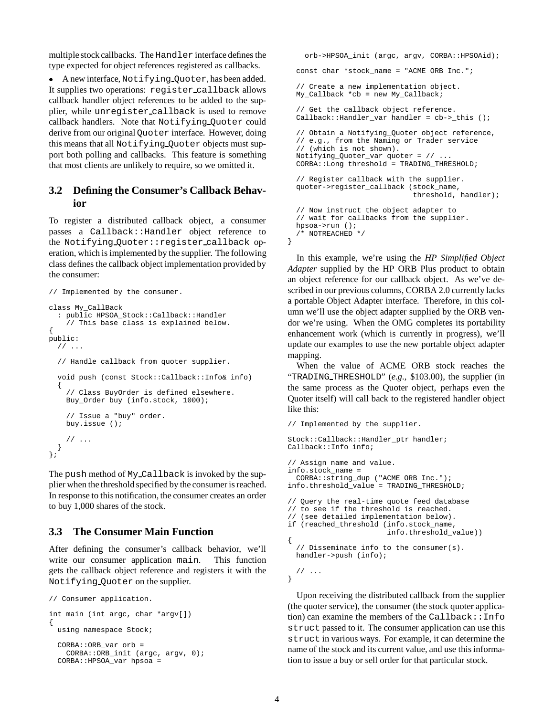multiple stock callbacks. The Handler interface defines the type expected for object references registered as callbacks.

 A new interface, Notifying Quoter, has been added. It supplies two operations: register callback allows callback handler object references to be added to the supplier, while unregister callback is used to remove callback handlers. Note that Notifying Quoter could derive from our original Quoter interface. However, doing this means that all Notifying Quoter objects must support both polling and callbacks. This feature is something that most clients are unlikely to require, so we omitted it.

### **3.2 Defining the Consumer's Callback Behavior**

To register a distributed callback object, a consumer passes a Callback::Handler object reference to the Notifying Quoter::register callback operation, which is implemented by the supplier. The following class defines the callback object implementation provided by the consumer:

```
// Implemented by the consumer.
class My_CallBack
  : public HPSOA_Stock::Callback::Handler
    // This base class is explained below.
{
public:
 // ...
  // Handle callback from quoter supplier.
  void push (const Stock::Callback::Info& info)
  {
    // Class BuyOrder is defined elsewhere.
    Buy_Order buy (info.stock, 1000);
    // Issue a "buy" order.
   buy.issue ();
    // ...
 }
};
```
The push method of My Callback is invoked by the supplier when the threshold specified by the consumer is reached. In response to this notification, the consumer creates an order to buy 1,000 shares of the stock.

#### **3.3 The Consumer Main Function**

After defining the consumer's callback behavior, we'll write our consumer application main. This function gets the callback object reference and registers it with the Notifying Quoter on the supplier.

```
// Consumer application.
int main (int argc, char *argv[])
{
 using namespace Stock;
  CORB::ORB var orb =
    CORBA::ORB_init (argc, argv, 0);
  CORBA::HPSOA_var hpsoa =
```
orb->HPSOA\_init (argc, argv, CORBA::HPSOAid); const char \*stock\_name = "ACME ORB Inc."; // Create a new implementation object.  $M_y$ \_Callback \*cb = new My\_Callback; // Get the callback object reference. Callback::Handler var handler = cb-> this (); // Obtain a Notifying\_Quoter object reference, // e.g., from the Naming or Trader service // (which is not shown). Notifying\_Quoter\_var quoter = // ... CORBA::Long threshold = TRADING\_THRESHOLD; // Register callback with the supplier. quoter->register\_callback (stock\_name, threshold, handler); // Now instruct the object adapter to // wait for callbacks from the supplier. hpsoa->run (); /\* NOTREACHED \*/ }

In this example, we're using the *HP Simplified Object Adapter* supplied by the HP ORB Plus product to obtain an object reference for our callback object. As we've described in our previous columns, CORBA 2.0 currently lacks a portable Object Adapter interface. Therefore, in this column we'll use the object adapter supplied by the ORB vendor we're using. When the OMG completes its portability enhancement work (which is currently in progress), we'll update our examples to use the new portable object adapter mapping.

When the value of ACME ORB stock reaches the "TRADING THRESHOLD" (*e.g.,* \$103.00), the supplier (in the same process as the Quoter object, perhaps even the Quoter itself) will call back to the registered handler object like this:

```
// Implemented by the supplier.
```

```
Stock::Callback::Handler ptr handler;
Callback::Info info;
// Assign name and value.
info.stock_name =
 CORBA::string_dup ("ACME ORB Inc.");
info.threshold_value = TRADING_THRESHOLD;
// Query the real-time quote feed database
// to see if the threshold is reached.
// (see detailed implementation below).
if (reached_threshold (info.stock_name,
                       info.threshold_value))
{
  // Disseminate info to the consumer(s).
 handler->push (info);
 // ...
```
Upon receiving the distributed callback from the supplier (the quoter service), the consumer (the stock quoter application) can examine the members of the Callback::Info struct passed to it. The consumer application can use this struct in various ways. For example, it can determine the name of the stock and its current value, and use this information to issue a buy or sell order for that particular stock.

}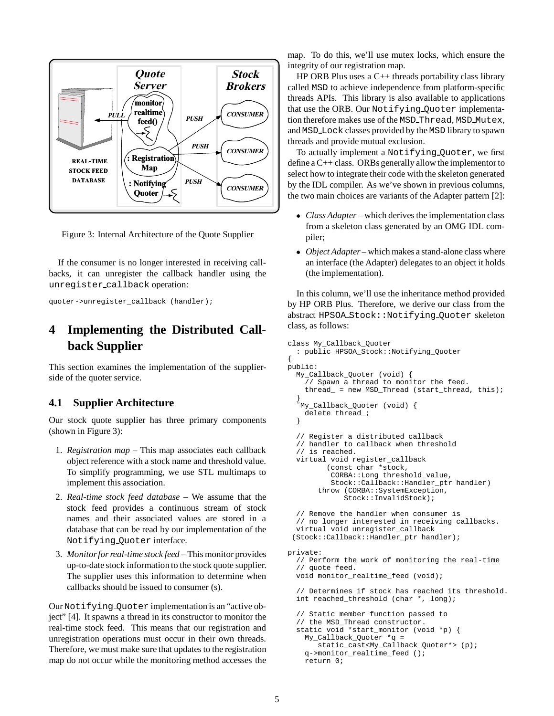

Figure 3: Internal Architecture of the Quote Supplier

If the consumer is no longer interested in receiving callbacks, it can unregister the callback handler using the unregister callback operation:

```
quoter->unregister_callback (handler);
```
# **4 Implementing the Distributed Callback Supplier**

This section examines the implementation of the supplierside of the quoter service.

#### **4.1 Supplier Architecture**

Our stock quote supplier has three primary components (shown in Figure 3):

- 1. *Registration map* This map associates each callback object reference with a stock name and threshold value. To simplify programming, we use STL multimaps to implement this association.
- 2. *Real-time stock feed database* We assume that the stock feed provides a continuous stream of stock names and their associated values are stored in a database that can be read by our implementation of the Notifying Quoter interface.
- 3. *Monitorfor real-time stock feed* This monitor provides up-to-date stock information to the stock quote supplier. The supplier uses this information to determine when callbacks should be issued to consumer (s).

Our Notifying Quoter implementation is an "active object" [4]. It spawns a thread in its constructor to monitor the real-time stock feed. This means that our registration and unregistration operations must occur in their own threads. Therefore, we must make sure that updates to the registration map do not occur while the monitoring method accesses the

map. To do this, we'll use mutex locks, which ensure the integrity of our registration map.

HP ORB Plus uses a  $C_{++}$  threads portability class library called MSD to achieve independence from platform-specific threads APIs. This library is also available to applications that use the ORB. Our Notifying Quoter implementation therefore makes use of the MSD Thread, MSD Mutex, and MSD Lock classes provided by the MSD library to spawn threads and provide mutual exclusion.

To actually implement a Notifying Quoter, we first define a C++ class. ORBs generally allow the implementor to select how to integrate their code with the skeleton generated by the IDL compiler. As we've shown in previous columns, the two main choices are variants of the Adapter pattern [2]:

- *Class Adapter* which derives the implementation class from a skeleton class generated by an OMG IDL compiler;
- *Object Adapter* which makes a stand-alone class where an interface (the Adapter) delegates to an object it holds (the implementation).

In this column, we'll use the inheritance method provided by HP ORB Plus. Therefore, we derive our class from the abstract HPSOA Stock::Notifying Quoter skeleton class, as follows:

```
class My_Callback_Quoter
  : public HPSOA_Stock::Notifying_Quoter
{
public:
 My_Callback_Quoter (void) {
    // Spawn a thread to monitor the feed.
    thread_ = new MSD_Thread (start_thread, this);
  }
  ˜My_Callback_Quoter (void) {
    delete thread_;
  }
  // Register a distributed callback
  // handler to callback when threshold
  // is reached.
 virtual void register_callback
         (const char *stock,
          CORBA::Long threshold_value,
          Stock::Callback::Handler_ptr handler)
       throw (CORBA::SystemException,
             Stock::InvalidStock);
  // Remove the handler when consumer is
  // no longer interested in receiving callbacks.
 virtual void unregister_callback
 (Stock::Callback::Handler_ptr handler);
private:
  // Perform the work of monitoring the real-time
  // quote feed.
 void monitor_realtime_feed (void);
  // Determines if stock has reached its threshold.
  int reached_threshold (char *, long);
  // Static member function passed to
  // the MSD_Thread constructor.
 static void *start_monitor (void *p) {
    My_Callback_Quoter *q =
       static_cast<My_Callback_Quoter*> (p);
    q->monitor_realtime_feed ();
    return 0;
```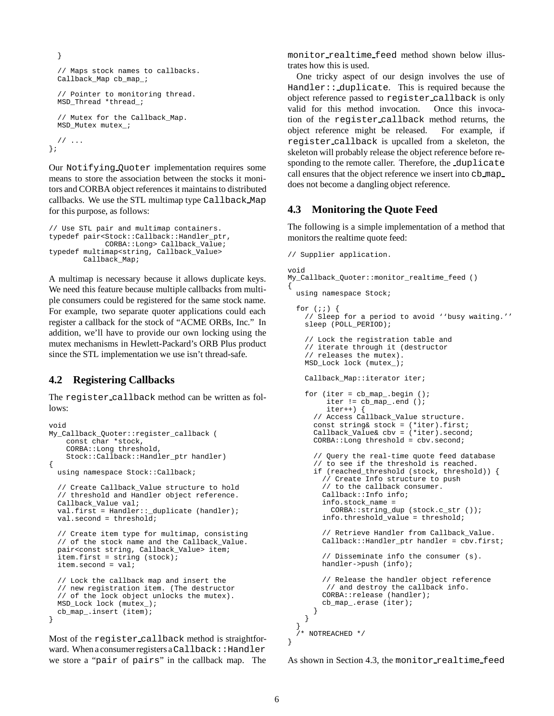```
}
  // Maps stock names to callbacks.
 Callback_Map cb_map_;
  // Pointer to monitoring thread.
 MSD_Thread *thread_;
  // Mutex for the Callback_Map.
 MSD_Mutex mutex_;
 // ...
};
```
Our Notifying Quoter implementation requires some means to store the association between the stocks it monitors and CORBA object references it maintains to distributed callbacks. We use the STL multimap type Callback Map for this purpose, as follows:

```
// Use STL pair and multimap containers.
typedef pair<Stock::Callback::Handler_ptr,
             CORBA::Long> Callback_Value;
typedef multimap<string, Callback_Value>
        Callback_Map;
```
A multimap is necessary because it allows duplicate keys. We need this feature because multiple callbacks from multiple consumers could be registered for the same stock name. For example, two separate quoter applications could each register a callback for the stock of "ACME ORBs, Inc." In addition, we'll have to provide our own locking using the mutex mechanisms in Hewlett-Packard's ORB Plus product since the STL implementation we use isn't thread-safe.

### **4.2 Registering Callbacks**

The register callback method can be written as follows:

```
void
My_Callback_Quoter::register_callback (
    const char *stock,
    CORBA::Long threshold,
    Stock::Callback::Handler_ptr handler)
{
  using namespace Stock::Callback;
  // Create Callback_Value structure to hold
  // threshold and Handler object reference.
 Callback_Value val;
  val.first = Handler:: _duplicate (handler);
 val.second = threshold;
  // Create item type for multimap, consisting
  // of the stock name and the Callback_Value.
  pair<const string, Callback_Value> item;
  item.first = string (stock);
  item.second = val;
  // Lock the callback map and insert the
  // new registration item. (The destructor
  // of the lock object unlocks the mutex).
 MSD_Lock lock (mutex_);
 cb_map_.insert (item);
}
```
Most of the register callback method is straightforward. When a consumer registers a Callback:: Handler we store a "pair of pairs" in the callback map. The

monitor realtime feed method shown below illustrates how this is used.

One tricky aspect of our design involves the use of Handler:: duplicate. This is required because the object reference passed to register callback is only valid for this method invocation. Once this invocation of the register callback method returns, the object reference might be released. For example, if register callback is upcalled from a skeleton, the skeleton will probably release the object reference before responding to the remote caller. Therefore, the duplicate call ensures that the object reference we insert into cb map does not become a dangling object reference.

### **4.3 Monitoring the Quote Feed**

The following is a simple implementation of a method that monitors the realtime quote feed:

```
// Supplier application.
void
My_Callback_Quoter::monitor_realtime_feed ()
{
  using namespace Stock;
  for (i:i) {
    // Sleep for a period to avoid ''busy waiting.''
    sleep (POLL_PERIOD);
    // Lock the registration table and
    // iterate through it (destructor
    // releases the mutex).
    MSD_Lock lock (mutex_);
    Callback_Map::iterator iter;
    for (iter = cb_map.begin ();
         iter != cb_map_.end ();
         iter++) {
      // Access Callback_Value structure.
      const string& stock = (*iter).first;
     Callback_Value& cbv = (*iter).second;
     CORBA::Long threshold = cbv.second;
      // Query the real-time quote feed database
      // to see if the threshold is reached.
     if (reached_threshold (stock, threshold)) {
        // Create Info structure to push
        // to the callback consumer.
       Callback::Info info;
        info.stock_name =
          CORBA::string_dup (stock.c_str ());
        info.threshold_value = threshold;
        // Retrieve Handler from Callback_Value.
        Callback::Handler_ptr handler = cbv.first;
        // Disseminate info the consumer (s).
       handler->push (info);
        // Release the handler object reference
         // and destroy the callback info.
        CORBA::release (handler);
        cb_map_.erase (iter);
     }
   }
  }
   /* NOTREACHED */
}
```

```
As shown in Section 4.3, the monitor realtime feed
```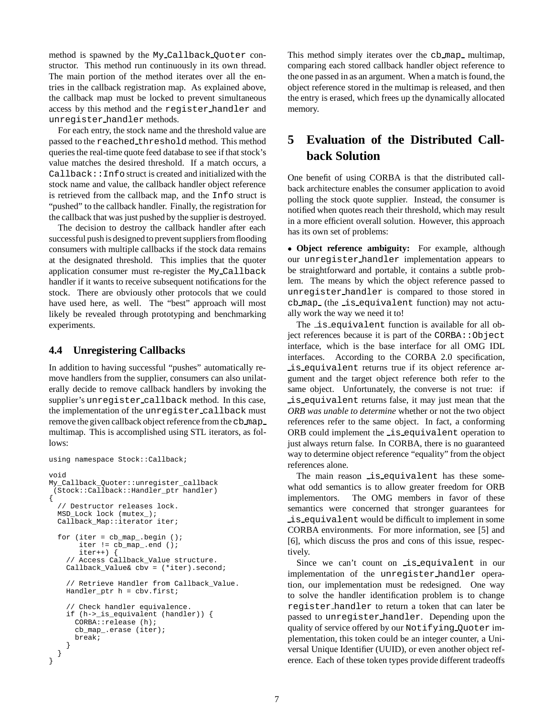method is spawned by the My Callback Quoter constructor. This method run continuously in its own thread. The main portion of the method iterates over all the entries in the callback registration map. As explained above, the callback map must be locked to prevent simultaneous access by this method and the register handler and unregister handler methods.

For each entry, the stock name and the threshold value are passed to the reached threshold method. This method queries the real-time quote feed database to see if that stock's value matches the desired threshold. If a match occurs, a Callback::Info struct is created and initialized with the stock name and value, the callback handler object reference is retrieved from the callback map, and the Info struct is "pushed" to the callback handler. Finally, the registration for the callback that was just pushed by the supplier is destroyed.

The decision to destroy the callback handler after each successful push is designed to prevent suppliers from flooding consumers with multiple callbacks if the stock data remains at the designated threshold. This implies that the quoter application consumer must re-register the My Callback handler if it wants to receive subsequent notifications for the stock. There are obviously other protocols that we could have used here, as well. The "best" approach will most likely be revealed through prototyping and benchmarking experiments.

#### **4.4 Unregistering Callbacks**

In addition to having successful "pushes" automatically remove handlers from the supplier, consumers can also unilaterally decide to remove callback handlers by invoking the supplier's unregister callback method. In this case, the implementation of the unregister callback must remove the given callback object reference from the cb\_map\_ multimap. This is accomplished using STL iterators, as follows:

```
using namespace Stock::Callback;
void
My_Callback_Quoter::unregister_callback
 (Stock::Callback::Handler_ptr handler)
{
  // Destructor releases lock.
 MSD_Lock lock (mutex_);
  Callback_Map::iterator iter;
  for (iter = cb_map_.begin ();
       iter != cb_map_.end ();
       iter++) {
    // Access Callback_Value structure.
    Callback_Value& cbv = (*iter).second;
    // Retrieve Handler from Callback_Value.
    Handler_ptr h = cbv.first;
    // Check handler equivalence.
    if (h->_is_equivalent (handler)) {
      CORBA::release (h);
      cb_map_.erase (iter);
      break;
    }
 }
}
```
This method simply iterates over the cb\_map\_ multimap, comparing each stored callback handler object reference to the one passed in as an argument. When a match is found, the object reference stored in the multimap is released, and then the entry is erased, which frees up the dynamically allocated memory.

# **5 Evaluation of the Distributed Callback Solution**

One benefit of using CORBA is that the distributed callback architecture enables the consumer application to avoid polling the stock quote supplier. Instead, the consumer is notified when quotes reach their threshold, which may result in a more efficient overall solution. However, this approach has its own set of problems:

 **Object reference ambiguity:** For example, although our unregister handler implementation appears to be straightforward and portable, it contains a subtle problem. The means by which the object reference passed to unregister handler is compared to those stored in cb map (the is equivalent function) may not actually work the way we need it to!

The is equivalent function is available for all object references because it is part of the  $CORBA::Object$ interface, which is the base interface for all OMG IDL interfaces. According to the CORBA 2.0 specification, is equivalent returns true if its object reference argument and the target object reference both refer to the same object. Unfortunately, the converse is not true: if is equivalent returns false, it may just mean that the *ORB was unable to determine* whether or not the two object references refer to the same object. In fact, a conforming ORB could implement the is equivalent operation to just always return false. In CORBA, there is no guaranteed way to determine object reference "equality" from the object references alone.

The main reason is equivalent has these somewhat odd semantics is to allow greater freedom for ORB implementors. The OMG members in favor of these semantics were concerned that stronger guarantees for is equivalent would be difficult to implement in some CORBA environments. For more information, see [5] and [6], which discuss the pros and cons of this issue, respectively.

Since we can't count on is equivalent in our implementation of the unregister handler operation, our implementation must be redesigned. One way to solve the handler identification problem is to change register handler to return a token that can later be passed to unregister handler. Depending upon the quality of service offered by our Notifying Quoter implementation, this token could be an integer counter, a Universal Unique Identifier (UUID), or even another object reference. Each of these token types provide different tradeoffs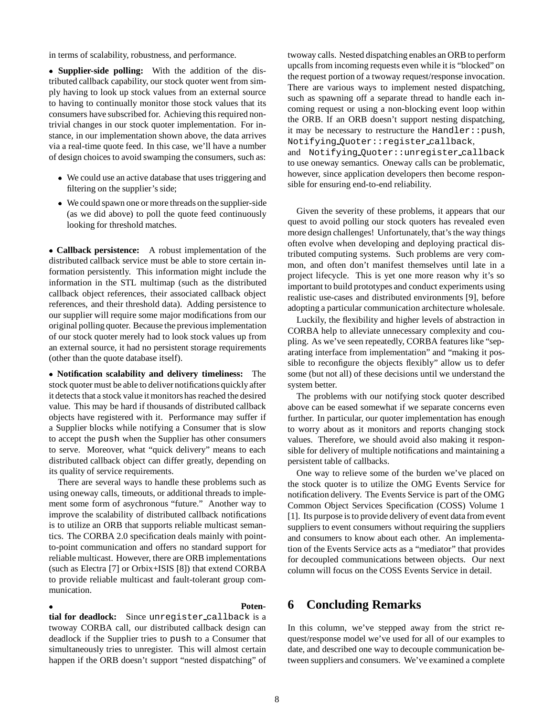in terms of scalability, robustness, and performance.

 **Supplier-side polling:** With the addition of the distributed callback capability, our stock quoter went from simply having to look up stock values from an external source to having to continually monitor those stock values that its consumers have subscribed for. Achieving this required nontrivial changes in our stock quoter implementation. For instance, in our implementation shown above, the data arrives via a real-time quote feed. In this case, we'll have a number of design choices to avoid swamping the consumers, such as:

- We could use an active database that uses triggering and filtering on the supplier's side;
- We could spawn one or more threads on the supplier-side (as we did above) to poll the quote feed continuously looking for threshold matches.

 **Callback persistence:** A robust implementation of the distributed callback service must be able to store certain information persistently. This information might include the information in the STL multimap (such as the distributed callback object references, their associated callback object references, and their threshold data). Adding persistence to our supplier will require some major modifications from our original polling quoter. Because the previous implementation of our stock quoter merely had to look stock values up from an external source, it had no persistent storage requirements (other than the quote database itself).

 **Notification scalability and delivery timeliness:** The stock quoter must be able to deliver notifications quicklyafter it detects that a stock value it monitors has reached the desired value. This may be hard if thousands of distributed callback objects have registered with it. Performance may suffer if a Supplier blocks while notifying a Consumer that is slow to accept the push when the Supplier has other consumers to serve. Moreover, what "quick delivery" means to each distributed callback object can differ greatly, depending on its quality of service requirements.

There are several ways to handle these problems such as using oneway calls, timeouts, or additional threads to implement some form of asychronous "future." Another way to improve the scalability of distributed callback notifications is to utilize an ORB that supports reliable multicast semantics. The CORBA 2.0 specification deals mainly with pointto-point communication and offers no standard support for reliable multicast. However, there are ORB implementations (such as Electra [7] or Orbix+ISIS [8]) that extend CORBA to provide reliable multicast and fault-tolerant group communication.

 **Potential for deadlock:** Since unregister callback is a twoway CORBA call, our distributed callback design can deadlock if the Supplier tries to push to a Consumer that simultaneously tries to unregister. This will almost certain happen if the ORB doesn't support "nested dispatching" of

upcalls from incoming requests even while it is "blocked" on the request portion of a twoway request/response invocation. There are various ways to implement nested dispatching, such as spawning off a separate thread to handle each incoming request or using a non-blocking event loop within the ORB. If an ORB doesn't support nesting dispatching, it may be necessary to restructure the Handler: : push, Notifying Quoter::register callback, and Notifying Quoter::unregister callback to use oneway semantics. Oneway calls can be problematic, however, since application developers then become responsible for ensuring end-to-end reliability.

twoway calls. Nested dispatching enables an ORB to perform

Given the severity of these problems, it appears that our quest to avoid polling our stock quoters has revealed even more design challenges! Unfortunately, that's the way things often evolve when developing and deploying practical distributed computing systems. Such problems are very common, and often don't manifest themselves until late in a project lifecycle. This is yet one more reason why it's so important to build prototypes and conduct experiments using realistic use-cases and distributed environments [9], before adopting a particular communication architecture wholesale.

Luckily, the flexibility and higher levels of abstraction in CORBA help to alleviate unnecessary complexity and coupling. As we've seen repeatedly, CORBA features like "separating interface from implementation" and "making it possible to reconfigure the objects flexibly" allow us to defer some (but not all) of these decisions until we understand the system better.

The problems with our notifying stock quoter described above can be eased somewhat if we separate concerns even further. In particular, our quoter implementation has enough to worry about as it monitors and reports changing stock values. Therefore, we should avoid also making it responsible for delivery of multiple notifications and maintaining a persistent table of callbacks.

One way to relieve some of the burden we've placed on the stock quoter is to utilize the OMG Events Service for notification delivery. The Events Service is part of the OMG Common Object Services Specification (COSS) Volume 1 [1]. Its purpose is to provide delivery of event data from event suppliers to event consumers without requiring the suppliers and consumers to know about each other. An implementation of the Events Service acts as a "mediator" that provides for decoupled communications between objects. Our next column will focus on the COSS Events Service in detail.

# **6 Concluding Remarks**

In this column, we've stepped away from the strict request/response model we've used for all of our examples to date, and described one way to decouple communication between suppliers and consumers. We've examined a complete